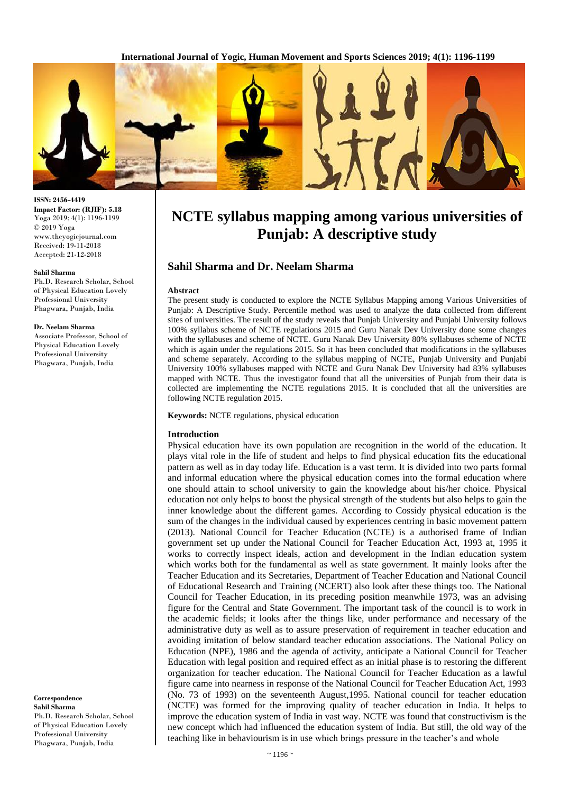

#### **ISSN: 2456-4419 Impact Factor: (RJIF): 5.18** Yoga 2019; 4(1): 1196-1199 © 2019 Yoga www.theyogicjournal.com Received: 19-11-2018 Accepted: 21-12-2018

#### **Sahil Sharma**

Ph.D. Research Scholar, School of Physical Education Lovely Professional University Phagwara, Punjab, India

#### **Dr. Neelam Sharma**

Associate Professor, School of Physical Education Lovely Professional University Phagwara, Punjab, India

**Correspondence Sahil Sharma** Ph.D. Research Scholar, School of Physical Education Lovely Professional University Phagwara, Punjab, India

# **NCTE syllabus mapping among various universities of Punjab: A descriptive study**

## **Sahil Sharma and Dr. Neelam Sharma**

#### **Abstract**

The present study is conducted to explore the NCTE Syllabus Mapping among Various Universities of Punjab: A Descriptive Study. Percentile method was used to analyze the data collected from different sites of universities. The result of the study reveals that Punjab University and Punjabi University follows 100% syllabus scheme of NCTE regulations 2015 and Guru Nanak Dev University done some changes with the syllabuses and scheme of NCTE. Guru Nanak Dev University 80% syllabuses scheme of NCTE which is again under the regulations 2015. So it has been concluded that modifications in the syllabuses and scheme separately. According to the syllabus mapping of NCTE, Punjab University and Punjabi University 100% syllabuses mapped with NCTE and Guru Nanak Dev University had 83% syllabuses mapped with NCTE. Thus the investigator found that all the universities of Punjab from their data is collected are implementing the NCTE regulations 2015. It is concluded that all the universities are following NCTE regulation 2015.

**Keywords:** NCTE regulations, physical education

#### **Introduction**

Physical education have its own population are recognition in the world of the education. It plays vital role in the life of student and helps to find physical education fits the educational pattern as well as in day today life. Education is a vast term. It is divided into two parts formal and informal education where the physical education comes into the formal education where one should attain to school university to gain the knowledge about his/her choice. Physical education not only helps to boost the physical strength of the students but also helps to gain the inner knowledge about the different games. According to Cossidy physical education is the sum of the changes in the individual caused by experiences centring in basic movement pattern (2013). National Council for Teacher Education (NCTE) is a authorised frame of Indian government set up under the National Council for Teacher Education Act, 1993 at, 1995 it works to correctly inspect ideals, action and development in the Indian education system which works both for the fundamental as well as state government. It mainly looks after the Teacher Education and its Secretaries, Department of Teacher Education and National Council of Educational Research and Training (NCERT) also look after these things too. The National Council for Teacher Education, in its preceding position meanwhile 1973, was an advising figure for the Central and State Government. The important task of the council is to work in the academic fields; it looks after the things like, under performance and necessary of the administrative duty as well as to assure preservation of requirement in teacher education and avoiding imitation of below standard teacher education associations. The National Policy on Education (NPE), 1986 and the agenda of activity, anticipate a National Council for Teacher Education with legal position and required effect as an initial phase is to restoring the different organization for teacher education. The National Council for Teacher Education as a lawful figure came into nearness in response of the National Council for Teacher Education Act, 1993 (No. 73 of 1993) on the seventeenth August,1995. National council for teacher education (NCTE) was formed for the improving quality of teacher education in India. It helps to improve the education system of India in vast way. NCTE was found that constructivism is the new concept which had influenced the education system of India. But still, the old way of the teaching like in behaviourism is in use which brings pressure in the teacher's and whole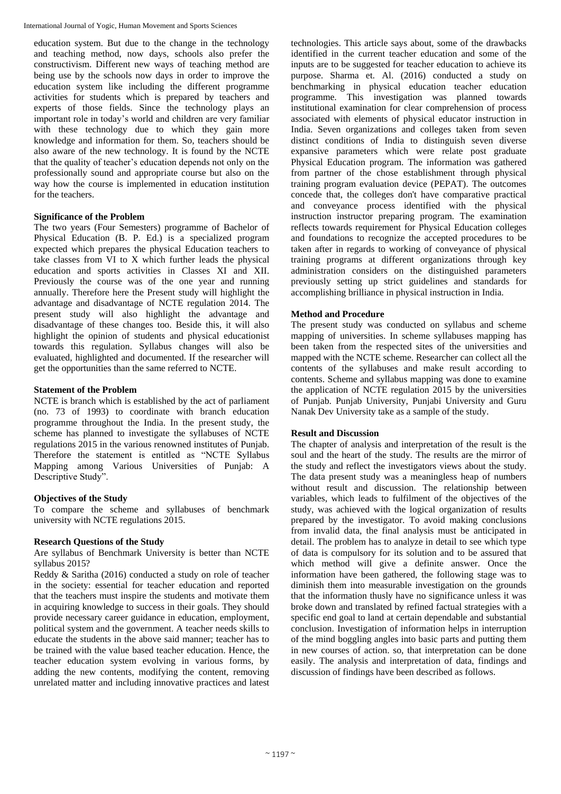education system. But due to the change in the technology and teaching method, now days, schools also prefer the constructivism. Different new ways of teaching method are being use by the schools now days in order to improve the education system like including the different programme activities for students which is prepared by teachers and experts of those fields. Since the technology plays an important role in today's world and children are very familiar with these technology due to which they gain more knowledge and information for them. So, teachers should be also aware of the new technology. It is found by the NCTE that the quality of teacher's education depends not only on the professionally sound and appropriate course but also on the way how the course is implemented in education institution for the teachers.

# **Significance of the Problem**

The two years (Four Semesters) programme of Bachelor of Physical Education (B. P. Ed.) is a specialized program expected which prepares the physical Education teachers to take classes from VI to X which further leads the physical education and sports activities in Classes XI and XII. Previously the course was of the one year and running annually. Therefore here the Present study will highlight the advantage and disadvantage of NCTE regulation 2014. The present study will also highlight the advantage and disadvantage of these changes too. Beside this, it will also highlight the opinion of students and physical educationist towards this regulation. Syllabus changes will also be evaluated, highlighted and documented. If the researcher will get the opportunities than the same referred to NCTE.

# **Statement of the Problem**

NCTE is branch which is established by the act of parliament (no. 73 of 1993) to coordinate with branch education programme throughout the India. In the present study, the scheme has planned to investigate the syllabuses of NCTE regulations 2015 in the various renowned institutes of Punjab. Therefore the statement is entitled as "NCTE Syllabus Mapping among Various Universities of Punjab: A Descriptive Study".

#### **Objectives of the Study**

To compare the scheme and syllabuses of benchmark university with NCTE regulations 2015.

#### **Research Questions of the Study**

Are syllabus of Benchmark University is better than NCTE syllabus 2015?

Reddy & Saritha (2016) conducted a study on role of teacher in the society: essential for teacher education and reported that the teachers must inspire the students and motivate them in acquiring knowledge to success in their goals. They should provide necessary career guidance in education, employment, political system and the government. A teacher needs skills to educate the students in the above said manner; teacher has to be trained with the value based teacher education. Hence, the teacher education system evolving in various forms, by adding the new contents, modifying the content, removing unrelated matter and including innovative practices and latest

technologies. This article says about, some of the drawbacks identified in the current teacher education and some of the inputs are to be suggested for teacher education to achieve its purpose. Sharma et. Al. (2016) conducted a study on benchmarking in physical education teacher education programme. This investigation was planned towards institutional examination for clear comprehension of process associated with elements of physical educator instruction in India. Seven organizations and colleges taken from seven distinct conditions of India to distinguish seven diverse expansive parameters which were relate post graduate Physical Education program. The information was gathered from partner of the chose establishment through physical training program evaluation device (PEPAT). The outcomes concede that, the colleges don't have comparative practical and conveyance process identified with the physical instruction instructor preparing program. The examination reflects towards requirement for Physical Education colleges and foundations to recognize the accepted procedures to be taken after in regards to working of conveyance of physical training programs at different organizations through key administration considers on the distinguished parameters previously setting up strict guidelines and standards for accomplishing brilliance in physical instruction in India.

# **Method and Procedure**

The present study was conducted on syllabus and scheme mapping of universities. In scheme syllabuses mapping has been taken from the respected sites of the universities and mapped with the NCTE scheme. Researcher can collect all the contents of the syllabuses and make result according to contents. Scheme and syllabus mapping was done to examine the application of NCTE regulation 2015 by the universities of Punjab. Punjab University, Punjabi University and Guru Nanak Dev University take as a sample of the study.

#### **Result and Discussion**

The chapter of analysis and interpretation of the result is the soul and the heart of the study. The results are the mirror of the study and reflect the investigators views about the study. The data present study was a meaningless heap of numbers without result and discussion. The relationship between variables, which leads to fulfilment of the objectives of the study, was achieved with the logical organization of results prepared by the investigator. To avoid making conclusions from invalid data, the final analysis must be anticipated in detail. The problem has to analyze in detail to see which type of data is compulsory for its solution and to be assured that which method will give a definite answer. Once the information have been gathered, the following stage was to diminish them into measurable investigation on the grounds that the information thusly have no significance unless it was broke down and translated by refined factual strategies with a specific end goal to land at certain dependable and substantial conclusion. Investigation of information helps in interruption of the mind boggling angles into basic parts and putting them in new courses of action. so, that interpretation can be done easily. The analysis and interpretation of data, findings and discussion of findings have been described as follows.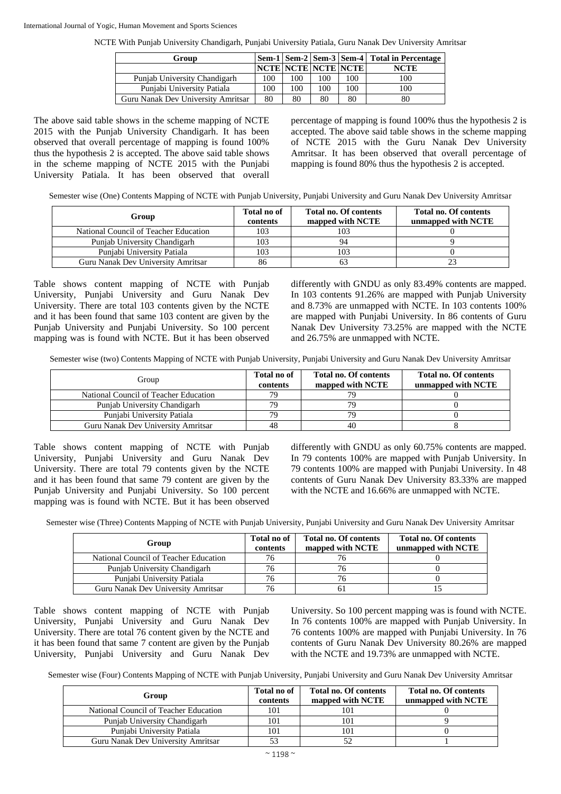#### International Journal of Yogic, Human Movement and Sports Sciences

NCTE With Punjab University Chandigarh, Punjabi University Patiala, Guru Nanak Dev University Amritsar

| Group                              |     |     |     |                            | Sem-1   Sem-2   Sem-3   Sem-4   Total in Percentage |
|------------------------------------|-----|-----|-----|----------------------------|-----------------------------------------------------|
|                                    |     |     |     | <b>NCTE NCTE NCTE NCTE</b> | <b>NCTE</b>                                         |
| Punjab University Chandigarh       | 100 | 100 | 100 | 100                        | 100                                                 |
| Punjabi University Patiala         | 100 | 100 | 100 | 100                        | 100                                                 |
| Guru Nanak Dev University Amritsar | 80  | 80  | 80  | 80                         | 80                                                  |

The above said table shows in the scheme mapping of NCTE 2015 with the Punjab University Chandigarh. It has been observed that overall percentage of mapping is found 100% thus the hypothesis 2 is accepted. The above said table shows in the scheme mapping of NCTE 2015 with the Punjabi University Patiala. It has been observed that overall

percentage of mapping is found 100% thus the hypothesis 2 is accepted. The above said table shows in the scheme mapping of NCTE 2015 with the Guru Nanak Dev University Amritsar. It has been observed that overall percentage of mapping is found 80% thus the hypothesis 2 is accepted.

Semester wise (One) Contents Mapping of NCTE with Punjab University, Punjabi University and Guru Nanak Dev University Amritsar

| Group                                 | Total no of<br>contents | <b>Total no. Of contents</b><br>mapped with NCTE | <b>Total no. Of contents</b><br>unmapped with NCTE |
|---------------------------------------|-------------------------|--------------------------------------------------|----------------------------------------------------|
| National Council of Teacher Education | 103                     | 103                                              |                                                    |
| Punjab University Chandigarh          | 103                     | 94                                               |                                                    |
| Punjabi University Patiala            | 103                     | 103                                              |                                                    |
| Guru Nanak Dev University Amritsar    | 86                      |                                                  |                                                    |

Table shows content mapping of NCTE with Punjab University, Punjabi University and Guru Nanak Dev University. There are total 103 contents given by the NCTE and it has been found that same 103 content are given by the Punjab University and Punjabi University. So 100 percent mapping was is found with NCTE. But it has been observed differently with GNDU as only 83.49% contents are mapped. In 103 contents 91.26% are mapped with Punjab University and 8.73% are unmapped with NCTE. In 103 contents 100% are mapped with Punjabi University. In 86 contents of Guru Nanak Dev University 73.25% are mapped with the NCTE and 26.75% are unmapped with NCTE.

Semester wise (two) Contents Mapping of NCTE with Punjab University, Punjabi University and Guru Nanak Dev University Amritsar

| Group                                 | Total no of<br>contents | <b>Total no. Of contents</b><br>mapped with NCTE | <b>Total no. Of contents</b><br>unmapped with NCTE |
|---------------------------------------|-------------------------|--------------------------------------------------|----------------------------------------------------|
| National Council of Teacher Education | 79                      |                                                  |                                                    |
| Punjab University Chandigarh          | 79                      |                                                  |                                                    |
| Puniabi University Patiala            | 79                      | 70                                               |                                                    |
| Guru Nanak Dev University Amritsar    | 48                      | 40                                               |                                                    |

Table shows content mapping of NCTE with Punjab University, Punjabi University and Guru Nanak Dev University. There are total 79 contents given by the NCTE and it has been found that same 79 content are given by the Punjab University and Punjabi University. So 100 percent mapping was is found with NCTE. But it has been observed

differently with GNDU as only 60.75% contents are mapped. In 79 contents 100% are mapped with Punjab University. In 79 contents 100% are mapped with Punjabi University. In 48 contents of Guru Nanak Dev University 83.33% are mapped with the NCTE and 16.66% are unmapped with NCTE.

Semester wise (Three) Contents Mapping of NCTE with Punjab University, Punjabi University and Guru Nanak Dev University Amritsar

| Group                                 | Total no of<br>contents | <b>Total no. Of contents</b><br>mapped with NCTE | <b>Total no. Of contents</b><br>unmapped with NCTE |
|---------------------------------------|-------------------------|--------------------------------------------------|----------------------------------------------------|
| National Council of Teacher Education | 76                      |                                                  |                                                    |
| Punjab University Chandigarh          |                         |                                                  |                                                    |
| Punjabi University Patiala            |                         | 76                                               |                                                    |
| Guru Nanak Dev University Amritsar    |                         |                                                  |                                                    |

Table shows content mapping of NCTE with Punjab University, Punjabi University and Guru Nanak Dev University. There are total 76 content given by the NCTE and it has been found that same 7 content are given by the Punjab University, Punjabi University and Guru Nanak Dev

University. So 100 percent mapping was is found with NCTE. In 76 contents 100% are mapped with Punjab University. In 76 contents 100% are mapped with Punjabi University. In 76 contents of Guru Nanak Dev University 80.26% are mapped with the NCTE and 19.73% are unmapped with NCTE.

Semester wise (Four) Contents Mapping of NCTE with Punjab University, Punjabi University and Guru Nanak Dev University Amritsar

| Group                                 | Total no of<br>contents | <b>Total no. Of contents</b><br>mapped with NCTE | Total no. Of contents<br>unmapped with NCTE |
|---------------------------------------|-------------------------|--------------------------------------------------|---------------------------------------------|
| National Council of Teacher Education | 101                     | 101                                              |                                             |
| Punjab University Chandigarh          | 101                     | 101                                              |                                             |
| Punjabi University Patiala            | 101                     | 101                                              |                                             |
| Guru Nanak Dev University Amritsar    | 53                      |                                                  |                                             |